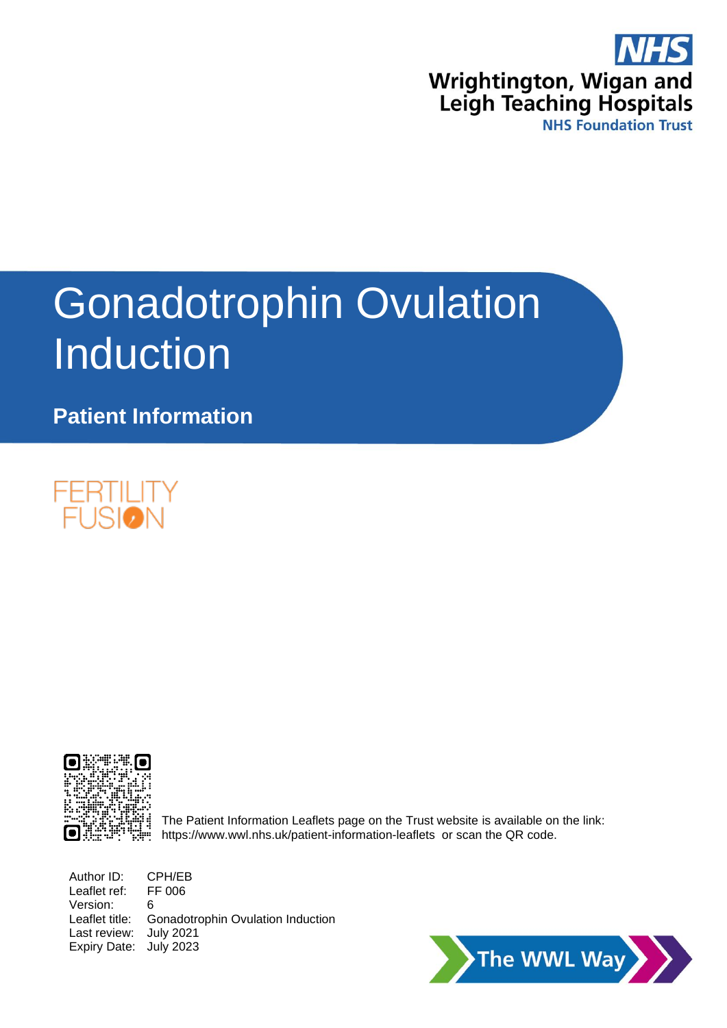

# Gonadotrophin Ovulation **Induction**

**Patient Information**





The Patient Information Leaflets page on the Trust website is available on the link: <https://www.wwl.nhs.uk/patient-information-leaflets>or scan the QR code.

Author ID: CPH/EB Leaflet ref: FF 006 Version: 6 Leaflet title: Gonadotrophin Ovulation Induction Last review: July 2021 Expiry Date: July 2023

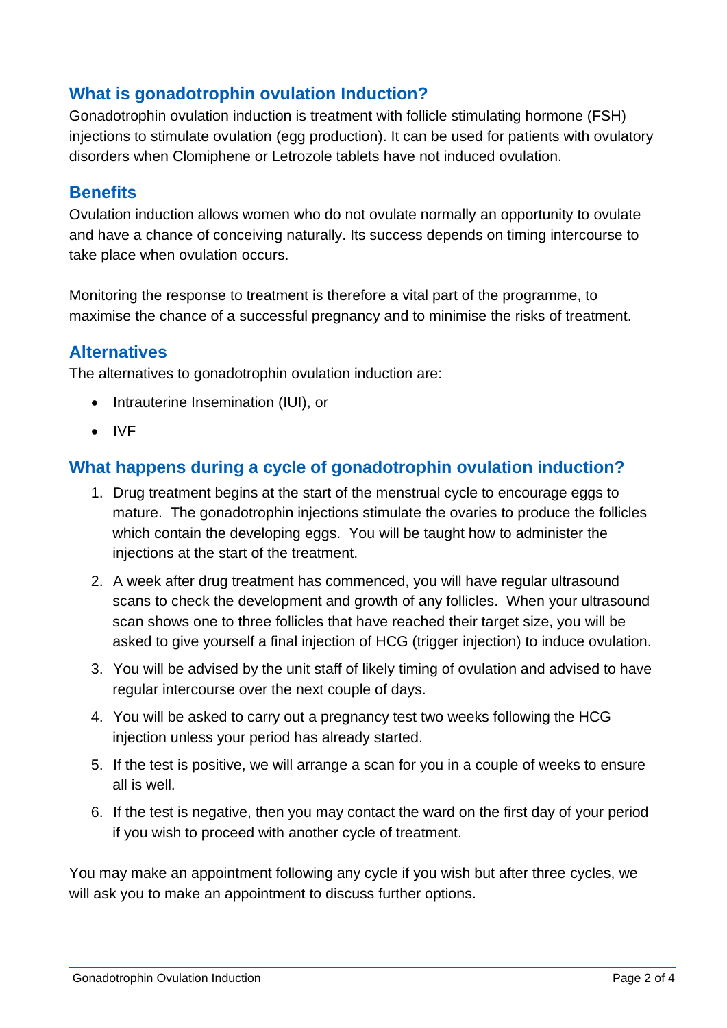## **What is gonadotrophin ovulation Induction?**

Gonadotrophin ovulation induction is treatment with follicle stimulating hormone (FSH) injections to stimulate ovulation (egg production). It can be used for patients with ovulatory disorders when Clomiphene or Letrozole tablets have not induced ovulation.

### **Benefits**

Ovulation induction allows women who do not ovulate normally an opportunity to ovulate and have a chance of conceiving naturally. Its success depends on timing intercourse to take place when ovulation occurs.

Monitoring the response to treatment is therefore a vital part of the programme, to maximise the chance of a successful pregnancy and to minimise the risks of treatment.

## **Alternatives**

The alternatives to gonadotrophin ovulation induction are:

- Intrauterine Insemination (IUI), or
- IVF

## **What happens during a cycle of gonadotrophin ovulation induction?**

- 1. Drug treatment begins at the start of the menstrual cycle to encourage eggs to mature. The gonadotrophin injections stimulate the ovaries to produce the follicles which contain the developing eggs. You will be taught how to administer the injections at the start of the treatment.
- 2. A week after drug treatment has commenced, you will have regular ultrasound scans to check the development and growth of any follicles. When your ultrasound scan shows one to three follicles that have reached their target size, you will be asked to give yourself a final injection of HCG (trigger injection) to induce ovulation.
- 3. You will be advised by the unit staff of likely timing of ovulation and advised to have regular intercourse over the next couple of days.
- 4. You will be asked to carry out a pregnancy test two weeks following the HCG injection unless your period has already started.
- 5. If the test is positive, we will arrange a scan for you in a couple of weeks to ensure all is well.
- 6. If the test is negative, then you may contact the ward on the first day of your period if you wish to proceed with another cycle of treatment.

You may make an appointment following any cycle if you wish but after three cycles, we will ask you to make an appointment to discuss further options.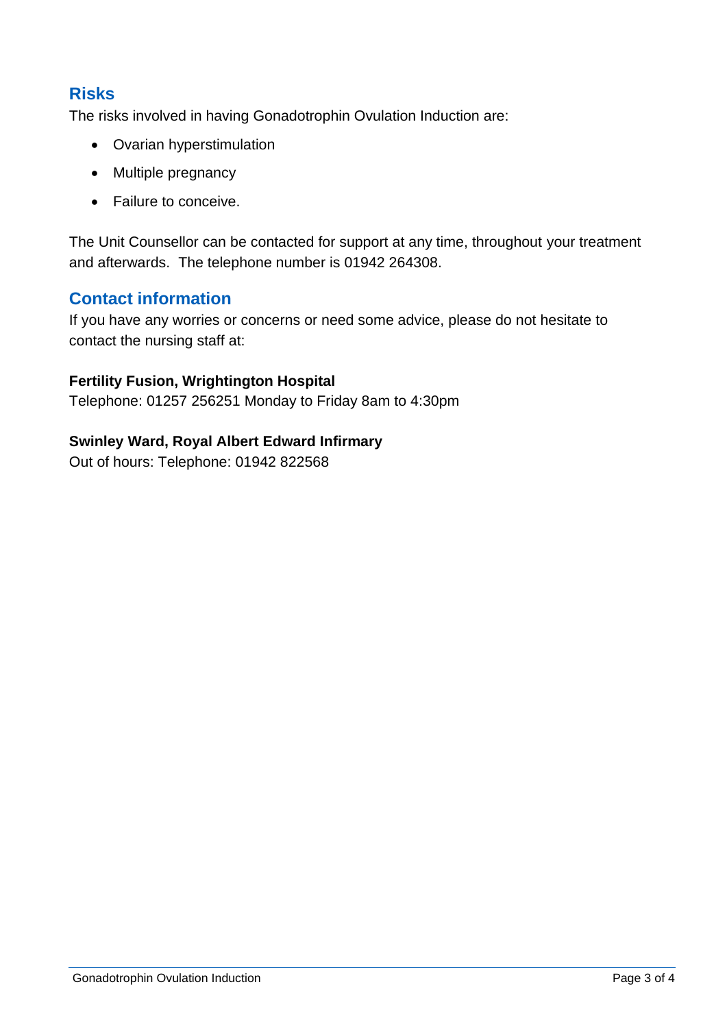## **Risks**

The risks involved in having Gonadotrophin Ovulation Induction are:

- Ovarian hyperstimulation
- Multiple pregnancy
- Failure to conceive.

The Unit Counsellor can be contacted for support at any time, throughout your treatment and afterwards. The telephone number is 01942 264308.

## **Contact information**

If you have any worries or concerns or need some advice, please do not hesitate to contact the nursing staff at:

#### **Fertility Fusion, Wrightington Hospital**

Telephone: 01257 256251 Monday to Friday 8am to 4:30pm

#### **Swinley Ward, Royal Albert Edward Infirmary**

Out of hours: Telephone: 01942 822568